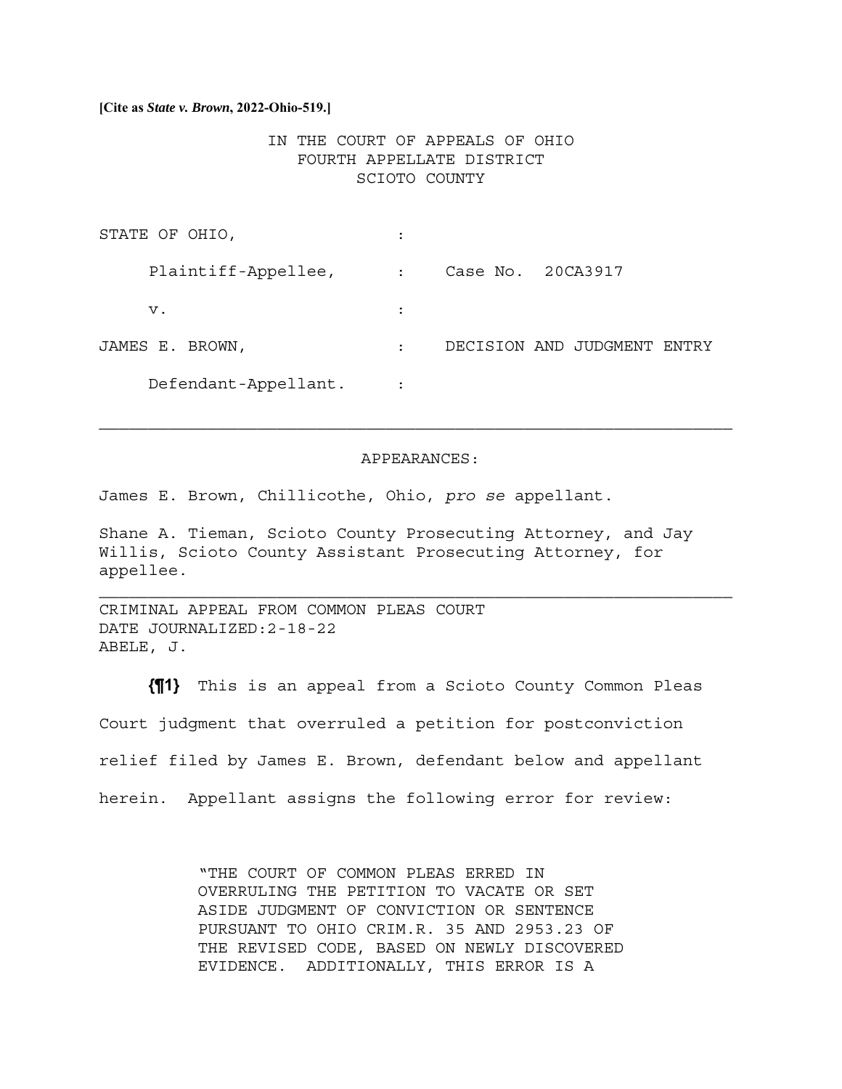### **[Cite as** *State v. Brown***, 2022-Ohio-519.]**

# IN THE COURT OF APPEALS OF OHIO FOURTH APPELLATE DISTRICT SCIOTO COUNTY

| STATE OF OHIO,       |                |                                |
|----------------------|----------------|--------------------------------|
| Plaintiff-Appellee,  | $\ddot{\cdot}$ | Case No. 20CA3917              |
| v.                   | $\ddot{\cdot}$ |                                |
| JAMES E. BROWN,      | $\bullet$      | DECISION AND JUDGMENT<br>ENTRY |
| Defendant-Appellant. |                |                                |

### APPEARANCES:

 $\mathcal{L}_\text{max} = \mathcal{L}_\text{max} = \mathcal{L}_\text{max} = \mathcal{L}_\text{max} = \mathcal{L}_\text{max} = \mathcal{L}_\text{max} = \mathcal{L}_\text{max} = \mathcal{L}_\text{max} = \mathcal{L}_\text{max} = \mathcal{L}_\text{max} = \mathcal{L}_\text{max} = \mathcal{L}_\text{max} = \mathcal{L}_\text{max} = \mathcal{L}_\text{max} = \mathcal{L}_\text{max} = \mathcal{L}_\text{max} = \mathcal{L}_\text{max} = \mathcal{L}_\text{max} = \mathcal{$ 

James E. Brown, Chillicothe, Ohio, *pro se* appellant.

Shane A. Tieman, Scioto County Prosecuting Attorney, and Jay Willis, Scioto County Assistant Prosecuting Attorney, for appellee.

CRIMINAL APPEAL FROM COMMON PLEAS COURT DATE JOURNALIZED:2-18-22 ABELE, J.

**{¶1}** This is an appeal from a Scioto County Common Pleas Court judgment that overruled a petition for postconviction relief filed by James E. Brown, defendant below and appellant herein. Appellant assigns the following error for review:

> "THE COURT OF COMMON PLEAS ERRED IN OVERRULING THE PETITION TO VACATE OR SET ASIDE JUDGMENT OF CONVICTION OR SENTENCE PURSUANT TO OHIO CRIM.R. 35 AND 2953.23 OF THE REVISED CODE, BASED ON NEWLY DISCOVERED EVIDENCE. ADDITIONALLY, THIS ERROR IS A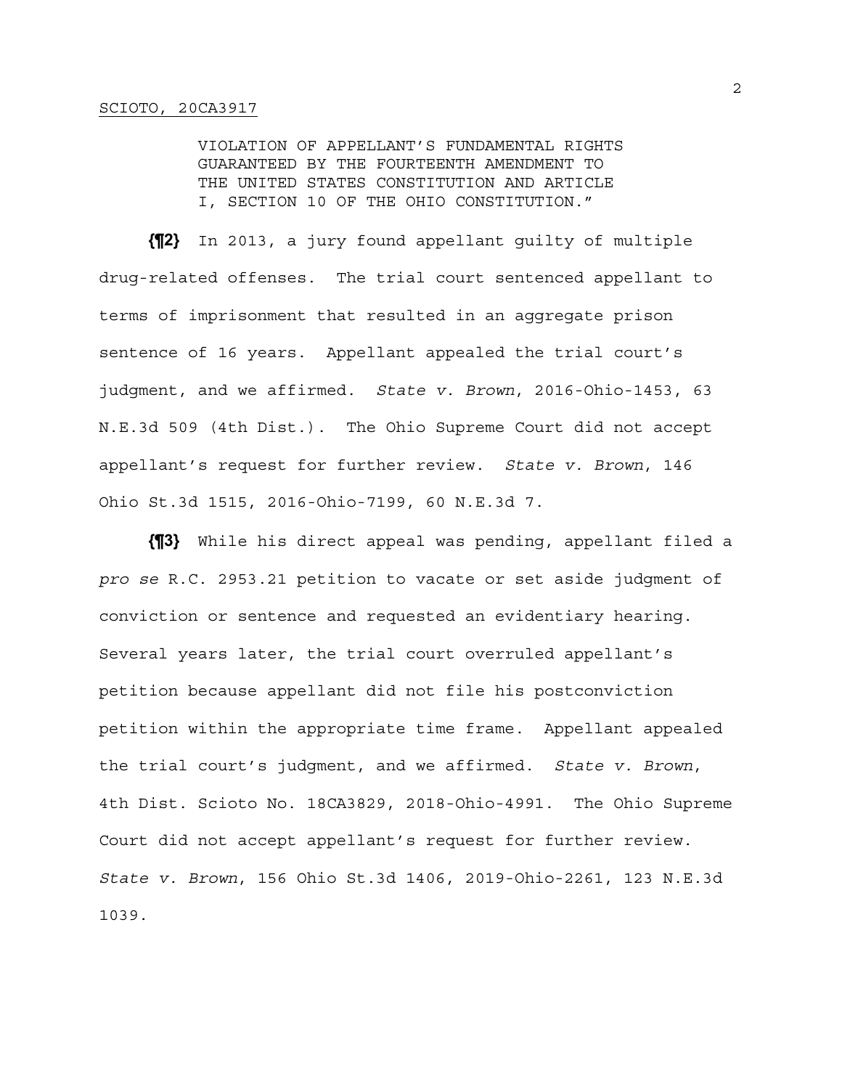VIOLATION OF APPELLANT'S FUNDAMENTAL RIGHTS GUARANTEED BY THE FOURTEENTH AMENDMENT TO THE UNITED STATES CONSTITUTION AND ARTICLE I, SECTION 10 OF THE OHIO CONSTITUTION."

**{¶2}** In 2013, a jury found appellant guilty of multiple drug-related offenses. The trial court sentenced appellant to terms of imprisonment that resulted in an aggregate prison sentence of 16 years. Appellant appealed the trial court's judgment, and we affirmed. *State v. Brown*, 2016-Ohio-1453, 63 N.E.3d 509 (4th Dist.). The Ohio Supreme Court did not accept appellant's request for further review. *State v. Brown*, 146 Ohio St.3d 1515, 2016-Ohio-7199, 60 N.E.3d 7.

**{¶3}** While his direct appeal was pending, appellant filed a *pro se* R.C. 2953.21 petition to vacate or set aside judgment of conviction or sentence and requested an evidentiary hearing. Several years later, the trial court overruled appellant's petition because appellant did not file his postconviction petition within the appropriate time frame. Appellant appealed the trial court's judgment, and we affirmed. *State v. Brown*, 4th Dist. Scioto No. 18CA3829, 2018-Ohio-4991. The Ohio Supreme Court did not accept appellant's request for further review. *State v. Brown*, 156 Ohio St.3d 1406, 2019-Ohio-2261, 123 N.E.3d 1039.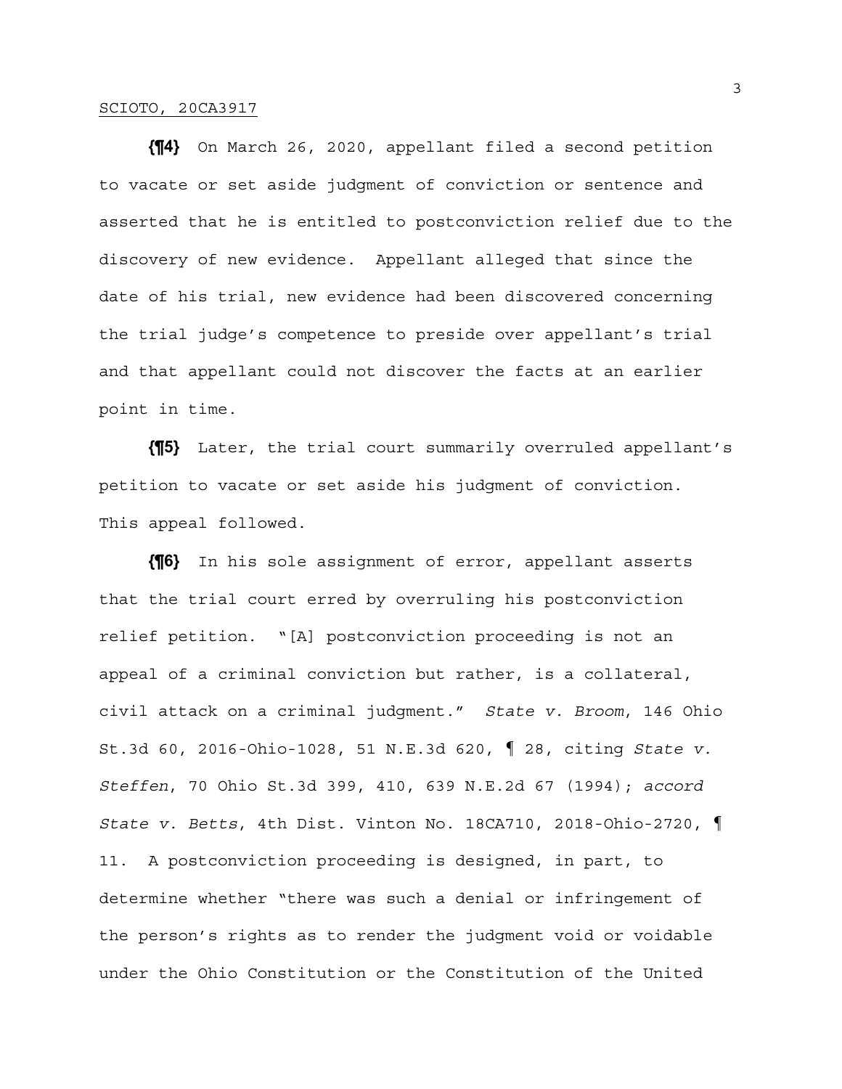**{¶4}** On March 26, 2020, appellant filed a second petition to vacate or set aside judgment of conviction or sentence and asserted that he is entitled to postconviction relief due to the discovery of new evidence. Appellant alleged that since the date of his trial, new evidence had been discovered concerning the trial judge's competence to preside over appellant's trial and that appellant could not discover the facts at an earlier point in time.

**{¶5}** Later, the trial court summarily overruled appellant's petition to vacate or set aside his judgment of conviction. This appeal followed.

**{¶6}** In his sole assignment of error, appellant asserts that the trial court erred by overruling his postconviction relief petition. "[A] postconviction proceeding is not an appeal of a criminal conviction but rather, is a collateral, civil attack on a criminal judgment." *State v. Broom*, 146 Ohio St.3d 60, 2016-Ohio-1028, 51 N.E.3d 620, ¶ 28, citing *State v. Steffen*, 70 Ohio St.3d 399, 410, 639 N.E.2d 67 (1994); *accord State v. Betts*, 4th Dist. Vinton No. 18CA710, 2018-Ohio-2720, ¶ 11. A postconviction proceeding is designed, in part, to determine whether "there was such a denial or infringement of the person's rights as to render the judgment void or voidable under the Ohio Constitution or the Constitution of the United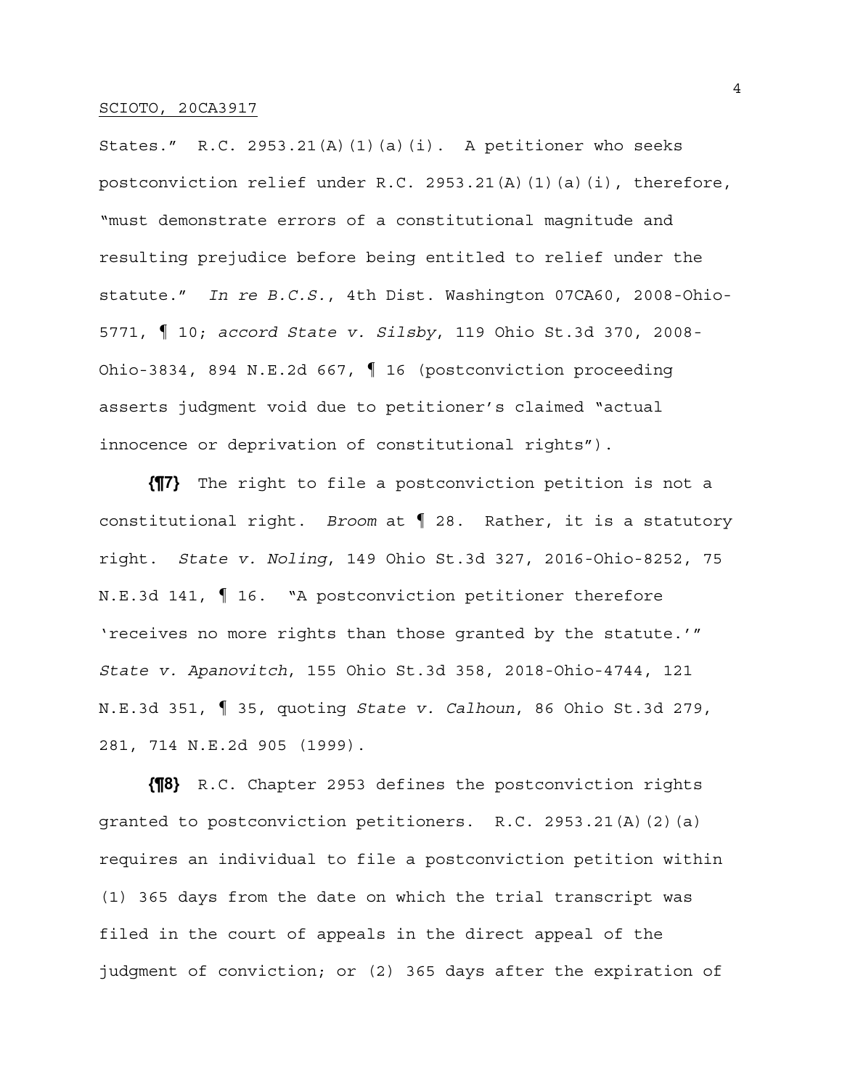States." R.C. 2953.21(A)(1)(a)(i). A petitioner who seeks postconviction relief under R.C. 2953.21(A)(1)(a)(i), therefore, "must demonstrate errors of a constitutional magnitude and resulting prejudice before being entitled to relief under the statute." *In re B.C.S.*, 4th Dist. Washington 07CA60, 2008-Ohio-5771, ¶ 10; *accord State v. Silsby*, 119 Ohio St.3d 370, 2008- Ohio-3834, 894 N.E.2d 667, ¶ 16 (postconviction proceeding asserts judgment void due to petitioner's claimed "actual innocence or deprivation of constitutional rights").

**{¶7}** The right to file a postconviction petition is not a constitutional right. *Broom* at ¶ 28. Rather, it is a statutory right. *State v. Noling*, 149 Ohio St.3d 327, 2016-Ohio-8252, 75 N.E.3d 141, ¶ 16. "A postconviction petitioner therefore 'receives no more rights than those granted by the statute.'" *State v. Apanovitch*, 155 Ohio St.3d 358, 2018-Ohio-4744, 121 N.E.3d 351, ¶ 35, quoting *State v. Calhoun*, 86 Ohio St.3d 279, 281, 714 N.E.2d 905 (1999).

**{¶8}** R.C. Chapter 2953 defines the postconviction rights granted to postconviction petitioners. R.C. 2953.21(A)(2)(a) requires an individual to file a postconviction petition within (1) 365 days from the date on which the trial transcript was filed in the court of appeals in the direct appeal of the judgment of conviction; or (2) 365 days after the expiration of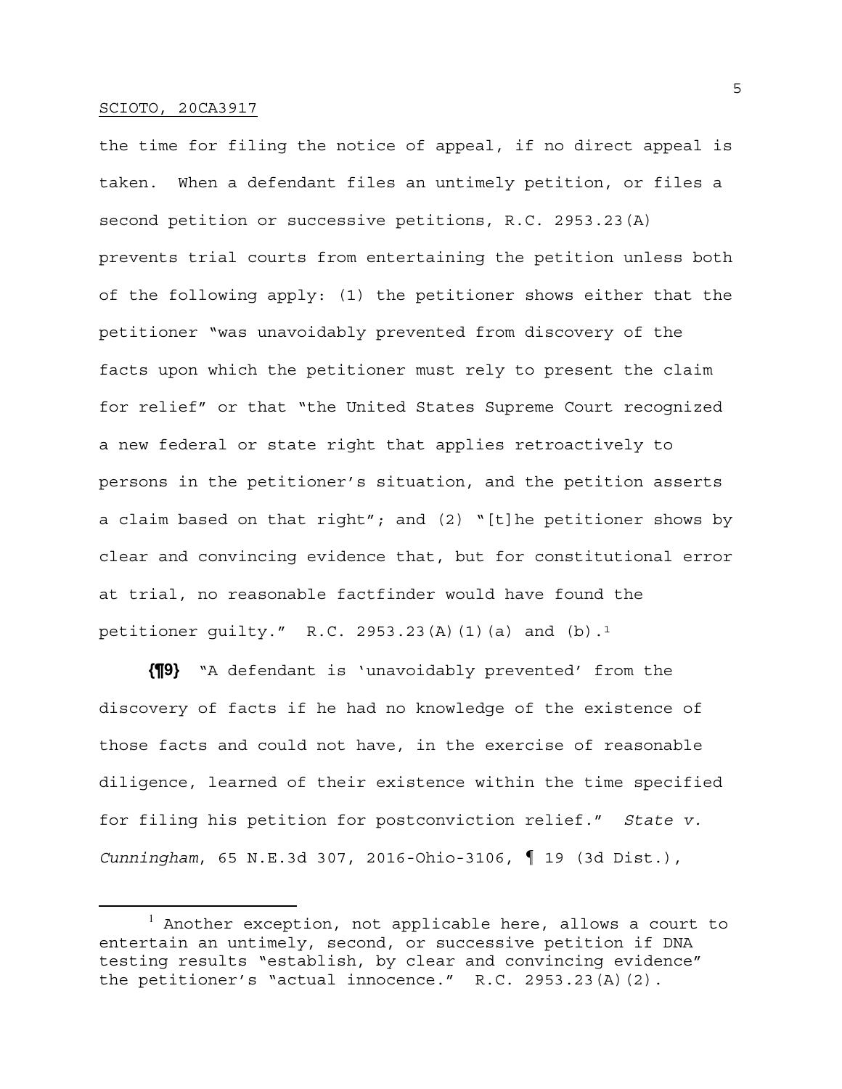the time for filing the notice of appeal, if no direct appeal is taken. When a defendant files an untimely petition, or files a second petition or successive petitions, R.C. 2953.23(A) prevents trial courts from entertaining the petition unless both of the following apply: (1) the petitioner shows either that the petitioner "was unavoidably prevented from discovery of the facts upon which the petitioner must rely to present the claim for relief" or that "the United States Supreme Court recognized a new federal or state right that applies retroactively to persons in the petitioner's situation, and the petition asserts a claim based on that right"; and (2) "[t]he petitioner shows by clear and convincing evidence that, but for constitutional error at trial, no reasonable factfinder would have found the petitioner guilty." R.C. 2953.23(A)(1)(a) and  $(b)$ .<sup>1</sup>

**{¶9}** "A defendant is 'unavoidably prevented' from the discovery of facts if he had no knowledge of the existence of those facts and could not have, in the exercise of reasonable diligence, learned of their existence within the time specified for filing his petition for postconviction relief." *State v. Cunningham*, 65 N.E.3d 307, 2016-Ohio-3106, ¶ 19 (3d Dist.),

<sup>&</sup>lt;sup>1</sup> Another exception, not applicable here, allows a court to entertain an untimely, second, or successive petition if DNA testing results "establish, by clear and convincing evidence" the petitioner's "actual innocence." R.C. 2953.23(A)(2).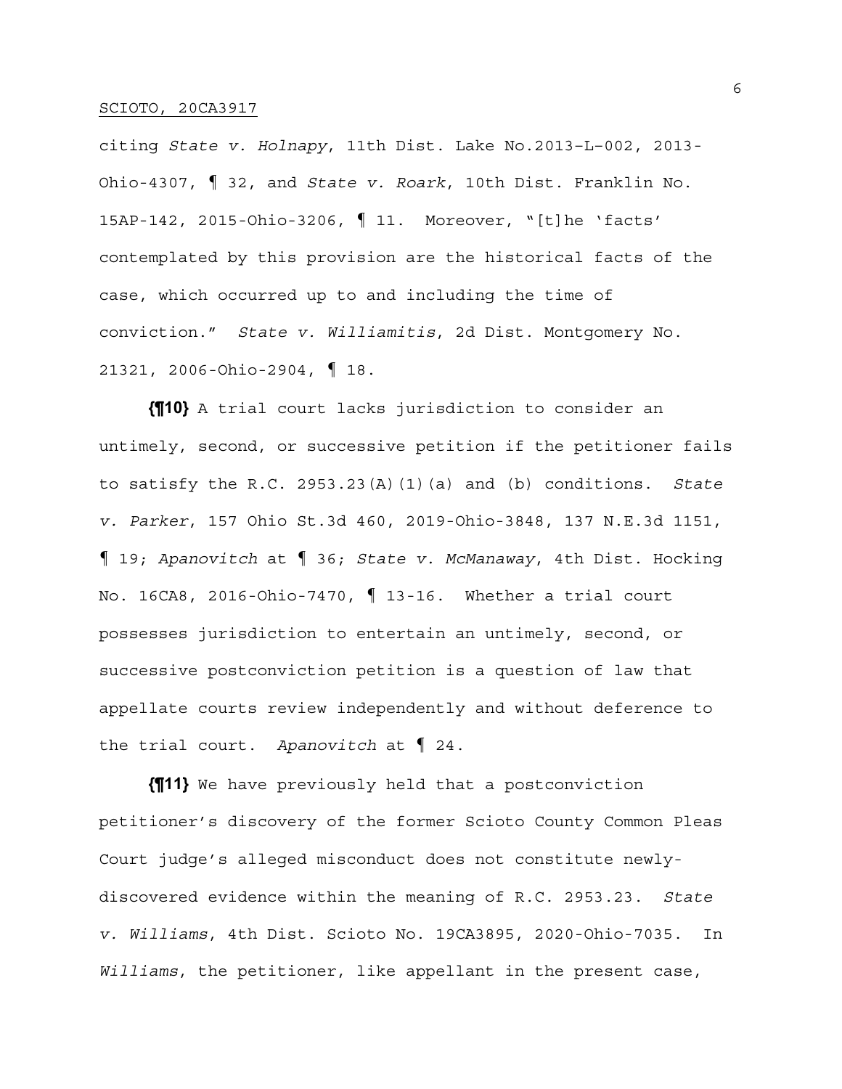citing *State v. Holnapy*, 11th Dist. Lake No.2013–L–002, 2013- Ohio-4307, ¶ 32, and *State v. Roark*, 10th Dist. Franklin No. 15AP-142, 2015-Ohio-3206, ¶ 11. Moreover, "[t]he 'facts' contemplated by this provision are the historical facts of the case, which occurred up to and including the time of conviction." *State v. Williamitis*, 2d Dist. Montgomery No. 21321, 2006-Ohio-2904, ¶ 18.

**{¶10}** A trial court lacks jurisdiction to consider an untimely, second, or successive petition if the petitioner fails to satisfy the R.C. 2953.23(A)(1)(a) and (b) conditions. *State v. Parker*, 157 Ohio St.3d 460, 2019-Ohio-3848, 137 N.E.3d 1151, ¶ 19; *Apanovitch* at ¶ 36; *State v. McManaway*, 4th Dist. Hocking No. 16CA8, 2016-Ohio-7470, ¶ 13-16. Whether a trial court possesses jurisdiction to entertain an untimely, second, or successive postconviction petition is a question of law that appellate courts review independently and without deference to the trial court. *Apanovitch* at ¶ 24.

**{¶11}** We have previously held that a postconviction petitioner's discovery of the former Scioto County Common Pleas Court judge's alleged misconduct does not constitute newlydiscovered evidence within the meaning of R.C. 2953.23. *State v. Williams*, 4th Dist. Scioto No. 19CA3895, 2020-Ohio-7035. In *Williams*, the petitioner, like appellant in the present case,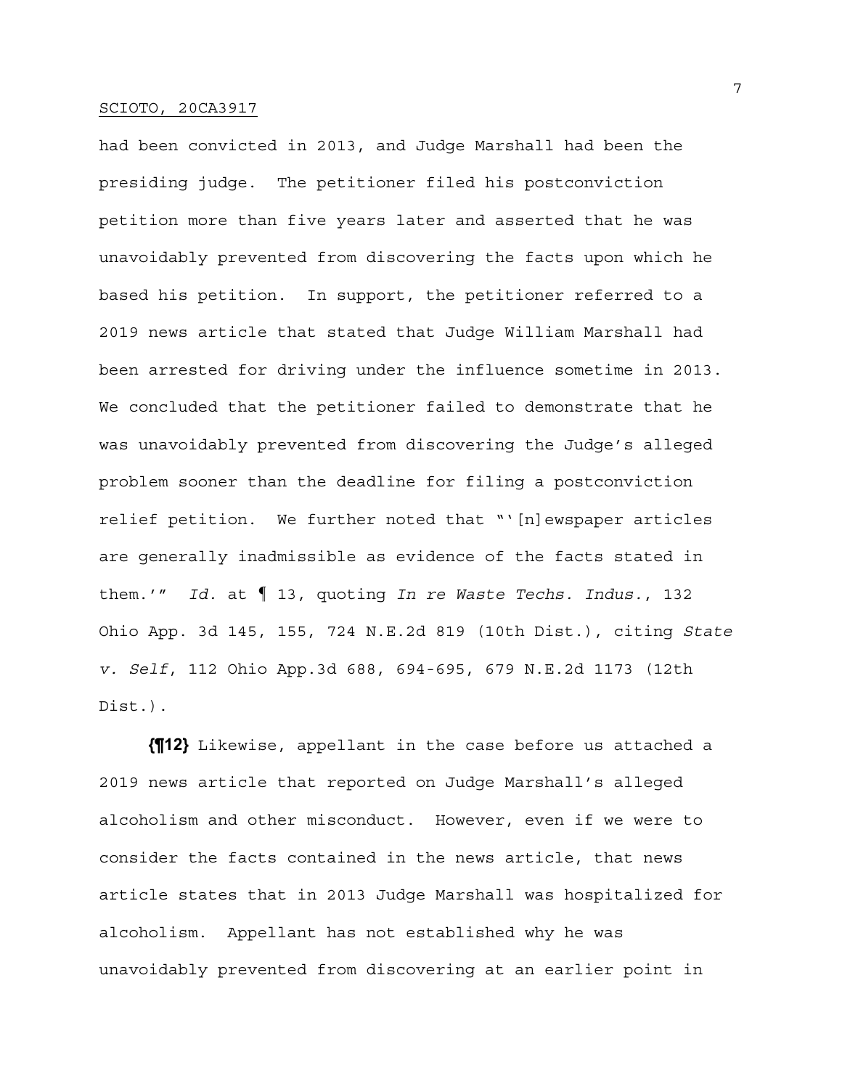had been convicted in 2013, and Judge Marshall had been the presiding judge. The petitioner filed his postconviction petition more than five years later and asserted that he was unavoidably prevented from discovering the facts upon which he based his petition. In support, the petitioner referred to a 2019 news article that stated that Judge William Marshall had been arrested for driving under the influence sometime in 2013. We concluded that the petitioner failed to demonstrate that he was unavoidably prevented from discovering the Judge's alleged problem sooner than the deadline for filing a postconviction relief petition. We further noted that "'[n]ewspaper articles are generally inadmissible as evidence of the facts stated in them.'" *Id.* at ¶ 13, quoting *In re Waste Techs. Indus.*, 132 Ohio App. 3d 145, 155, 724 N.E.2d 819 (10th Dist.), citing *State v. Self*, 112 Ohio App.3d 688, 694-695, 679 N.E.2d 1173 (12th Dist.).

**{¶12}** Likewise, appellant in the case before us attached a 2019 news article that reported on Judge Marshall's alleged alcoholism and other misconduct. However, even if we were to consider the facts contained in the news article, that news article states that in 2013 Judge Marshall was hospitalized for alcoholism. Appellant has not established why he was unavoidably prevented from discovering at an earlier point in

7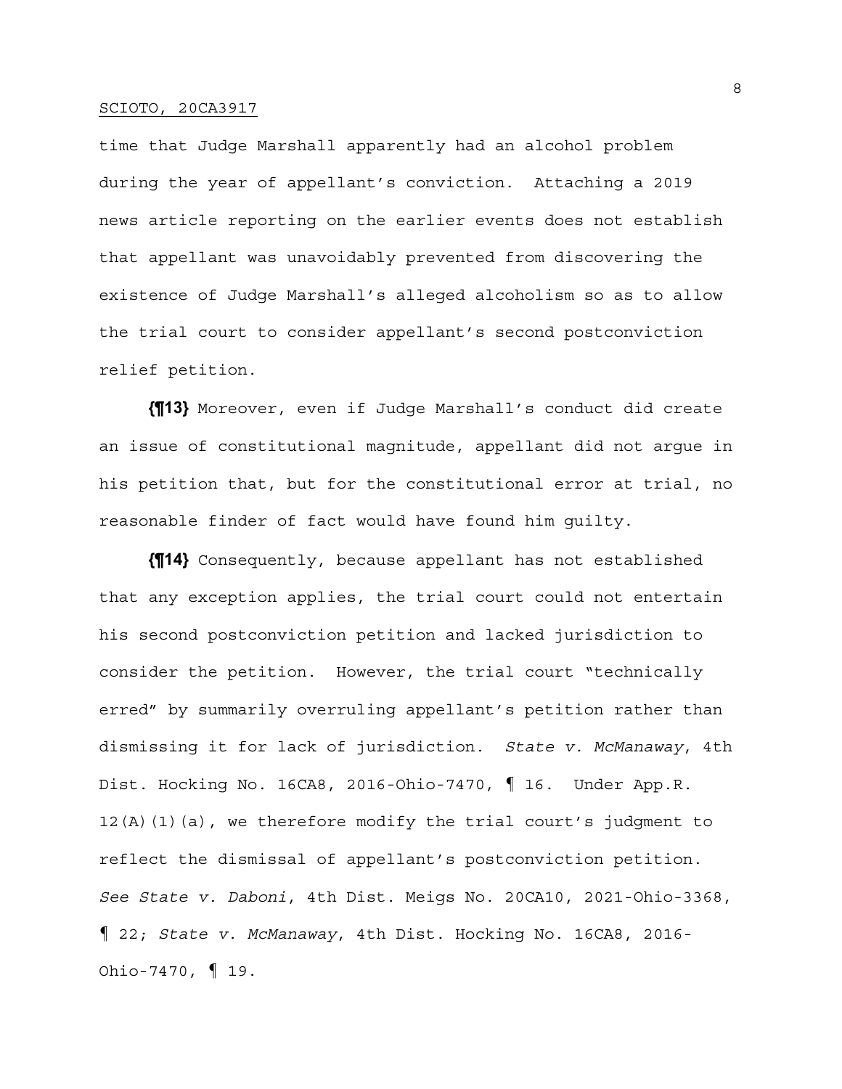time that Judge Marshall apparently had an alcohol problem during the year of appellant's conviction. Attaching a 2019 news article reporting on the earlier events does not establish that appellant was unavoidably prevented from discovering the existence of Judge Marshall's alleged alcoholism so as to allow the trial court to consider appellant's second postconviction relief petition.

**{¶13}** Moreover, even if Judge Marshall's conduct did create an issue of constitutional magnitude, appellant did not argue in his petition that, but for the constitutional error at trial, no reasonable finder of fact would have found him guilty.

**{¶14}** Consequently, because appellant has not established that any exception applies, the trial court could not entertain his second postconviction petition and lacked jurisdiction to consider the petition. However, the trial court "technically erred" by summarily overruling appellant's petition rather than dismissing it for lack of jurisdiction. *State v. McManaway*, 4th Dist. Hocking No. 16CA8, 2016-Ohio-7470, ¶ 16. Under App.R. 12(A)(1)(a), we therefore modify the trial court's judgment to reflect the dismissal of appellant's postconviction petition. *See State v. Daboni*, 4th Dist. Meigs No. 20CA10, 2021-Ohio-3368, ¶ 22; *State v. McManaway*, 4th Dist. Hocking No. 16CA8, 2016- Ohio-7470, ¶ 19.

8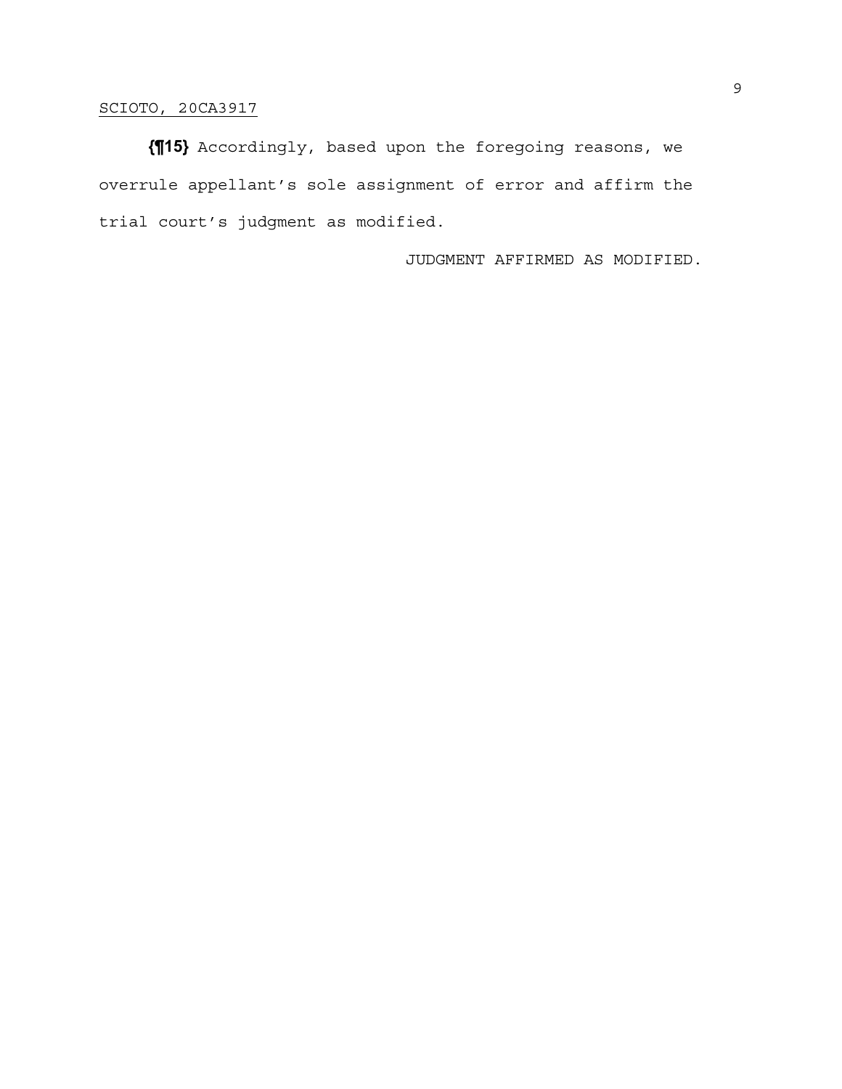**{¶15}** Accordingly, based upon the foregoing reasons, we overrule appellant's sole assignment of error and affirm the trial court's judgment as modified.

JUDGMENT AFFIRMED AS MODIFIED.